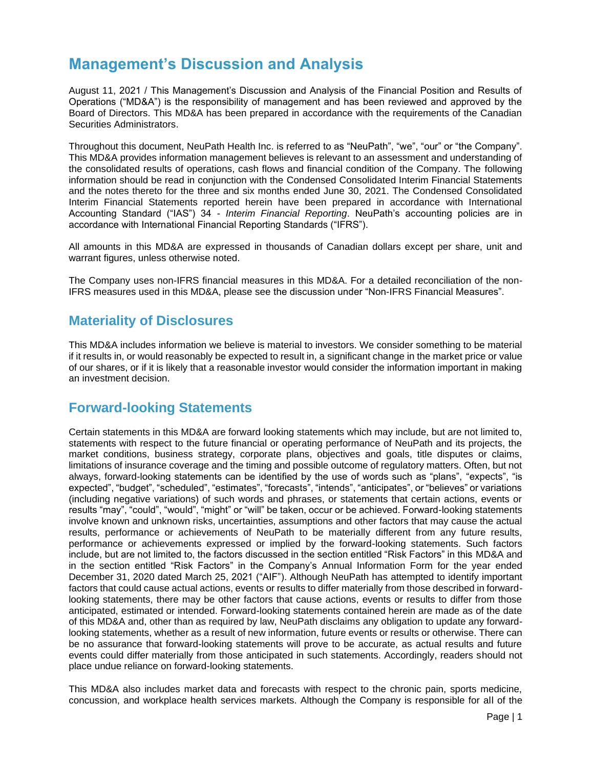# **Management's Discussion and Analysis**

August 11, 2021 / This Management's Discussion and Analysis of the Financial Position and Results of Operations ("MD&A") is the responsibility of management and has been reviewed and approved by the Board of Directors. This MD&A has been prepared in accordance with the requirements of the Canadian Securities Administrators.

Throughout this document, NeuPath Health Inc. is referred to as "NeuPath", "we", "our" or "the Company". This MD&A provides information management believes is relevant to an assessment and understanding of the consolidated results of operations, cash flows and financial condition of the Company. The following information should be read in conjunction with the Condensed Consolidated Interim Financial Statements and the notes thereto for the three and six months ended June 30, 2021. The Condensed Consolidated Interim Financial Statements reported herein have been prepared in accordance with International Accounting Standard ("IAS") 34 - *Interim Financial Reporting*. NeuPath's accounting policies are in accordance with International Financial Reporting Standards ("IFRS").

All amounts in this MD&A are expressed in thousands of Canadian dollars except per share, unit and warrant figures, unless otherwise noted.

The Company uses non-IFRS financial measures in this MD&A. For a detailed reconciliation of the non-IFRS measures used in this MD&A, please see the discussion under "Non-IFRS Financial Measures".

## **Materiality of Disclosures**

This MD&A includes information we believe is material to investors. We consider something to be material if it results in, or would reasonably be expected to result in, a significant change in the market price or value of our shares, or if it is likely that a reasonable investor would consider the information important in making an investment decision.

## **Forward-looking Statements**

Certain statements in this MD&A are forward looking statements which may include, but are not limited to, statements with respect to the future financial or operating performance of NeuPath and its projects, the market conditions, business strategy, corporate plans, objectives and goals, title disputes or claims, limitations of insurance coverage and the timing and possible outcome of regulatory matters. Often, but not always, forward-looking statements can be identified by the use of words such as "plans", "expects", "is expected", "budget", "scheduled", "estimates", "forecasts", "intends", "anticipates", or "believes" or variations (including negative variations) of such words and phrases, or statements that certain actions, events or results "may", "could", "would", "might" or "will" be taken, occur or be achieved. Forward-looking statements involve known and unknown risks, uncertainties, assumptions and other factors that may cause the actual results, performance or achievements of NeuPath to be materially different from any future results, performance or achievements expressed or implied by the forward-looking statements. Such factors include, but are not limited to, the factors discussed in the section entitled "Risk Factors" in this MD&A and in the section entitled "Risk Factors" in the Company's Annual Information Form for the year ended December 31, 2020 dated March 25, 2021 ("AIF"). Although NeuPath has attempted to identify important factors that could cause actual actions, events or results to differ materially from those described in forwardlooking statements, there may be other factors that cause actions, events or results to differ from those anticipated, estimated or intended. Forward-looking statements contained herein are made as of the date of this MD&A and, other than as required by law, NeuPath disclaims any obligation to update any forwardlooking statements, whether as a result of new information, future events or results or otherwise. There can be no assurance that forward-looking statements will prove to be accurate, as actual results and future events could differ materially from those anticipated in such statements. Accordingly, readers should not place undue reliance on forward-looking statements.

This MD&A also includes market data and forecasts with respect to the chronic pain, sports medicine, concussion, and workplace health services markets. Although the Company is responsible for all of the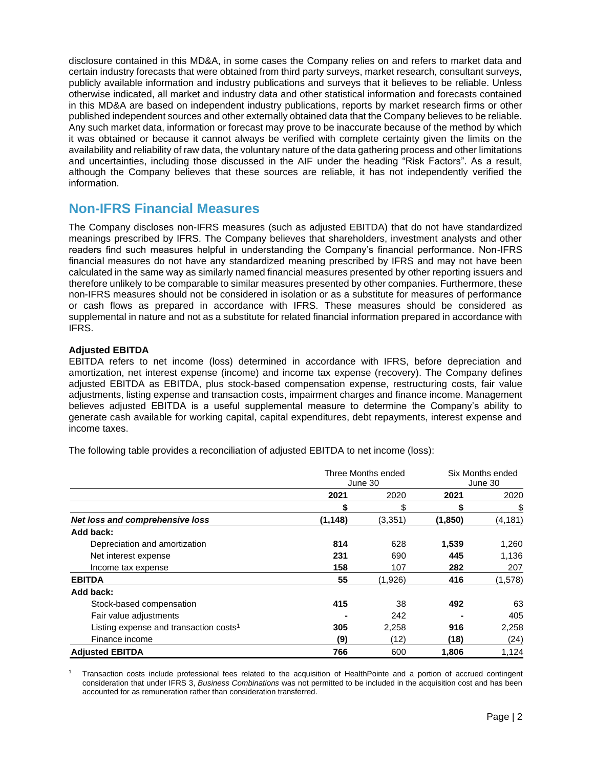disclosure contained in this MD&A, in some cases the Company relies on and refers to market data and certain industry forecasts that were obtained from third party surveys, market research, consultant surveys, publicly available information and industry publications and surveys that it believes to be reliable. Unless otherwise indicated, all market and industry data and other statistical information and forecasts contained in this MD&A are based on independent industry publications, reports by market research firms or other published independent sources and other externally obtained data that the Company believes to be reliable. Any such market data, information or forecast may prove to be inaccurate because of the method by which it was obtained or because it cannot always be verified with complete certainty given the limits on the availability and reliability of raw data, the voluntary nature of the data gathering process and other limitations and uncertainties, including those discussed in the AIF under the heading "Risk Factors". As a result, although the Company believes that these sources are reliable, it has not independently verified the information.

## **Non-IFRS Financial Measures**

The Company discloses non-IFRS measures (such as adjusted EBITDA) that do not have standardized meanings prescribed by IFRS. The Company believes that shareholders, investment analysts and other readers find such measures helpful in understanding the Company's financial performance. Non-IFRS financial measures do not have any standardized meaning prescribed by IFRS and may not have been calculated in the same way as similarly named financial measures presented by other reporting issuers and therefore unlikely to be comparable to similar measures presented by other companies. Furthermore, these non-IFRS measures should not be considered in isolation or as a substitute for measures of performance or cash flows as prepared in accordance with IFRS. These measures should be considered as supplemental in nature and not as a substitute for related financial information prepared in accordance with IFRS.

## **Adjusted EBITDA**

EBITDA refers to net income (loss) determined in accordance with IFRS, before depreciation and amortization, net interest expense (income) and income tax expense (recovery). The Company defines adjusted EBITDA as EBITDA, plus stock-based compensation expense, restructuring costs, fair value adjustments, listing expense and transaction costs, impairment charges and finance income. Management believes adjusted EBITDA is a useful supplemental measure to determine the Company's ability to generate cash available for working capital, capital expenditures, debt repayments, interest expense and income taxes.

The following table provides a reconciliation of adjusted EBITDA to net income (loss):

|                                                    | Three Months ended<br>June 30 |         | Six Months ended<br>June 30 |          |
|----------------------------------------------------|-------------------------------|---------|-----------------------------|----------|
|                                                    | 2021                          | 2020    | 2021                        | 2020     |
|                                                    | \$                            | \$      | \$                          | \$       |
| Net loss and comprehensive loss                    | (1, 148)                      | (3,351) | (1,850)                     | (4, 181) |
| Add back:                                          |                               |         |                             |          |
| Depreciation and amortization                      | 814                           | 628     | 1,539                       | 1,260    |
| Net interest expense                               | 231                           | 690     | 445                         | 1,136    |
| Income tax expense                                 | 158                           | 107     | 282                         | 207      |
| <b>EBITDA</b>                                      | 55                            | (1,926) | 416                         | (1,578)  |
| Add back:                                          |                               |         |                             |          |
| Stock-based compensation                           | 415                           | 38      | 492                         | 63       |
| Fair value adjustments                             |                               | 242     |                             | 405      |
| Listing expense and transaction costs <sup>1</sup> | 305                           | 2,258   | 916                         | 2,258    |
| Finance income                                     | (9)                           | (12)    | (18)                        | (24)     |
| <b>Adjusted EBITDA</b>                             | 766                           | 600     | 1,806                       | 1,124    |

<sup>1</sup> Transaction costs include professional fees related to the acquisition of HealthPointe and a portion of accrued contingent consideration that under IFRS 3, *Business Combinations* was not permitted to be included in the acquisition cost and has been accounted for as remuneration rather than consideration transferred.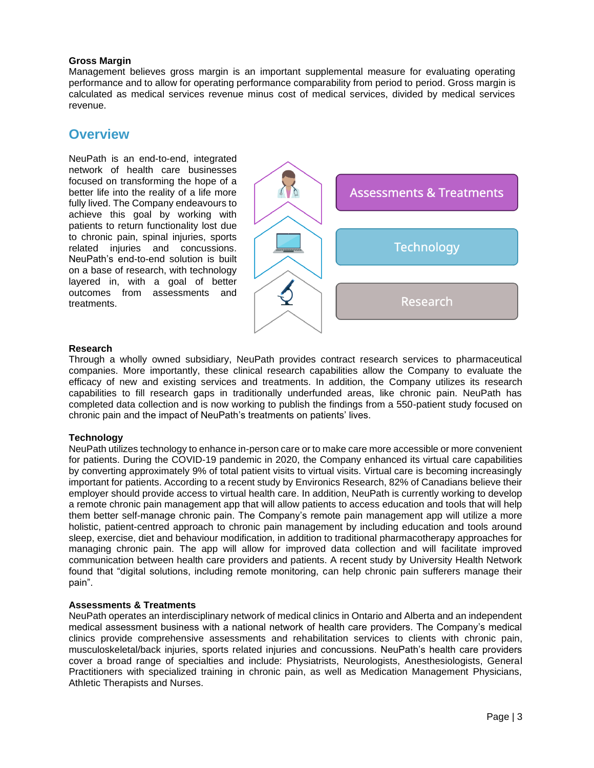## **Gross Margin**

Management believes gross margin is an important supplemental measure for evaluating operating performance and to allow for operating performance comparability from period to period. Gross margin is calculated as medical services revenue minus cost of medical services, divided by medical services revenue.

## **Overview**

NeuPath is an end-to-end, integrated network of health care businesses focused on transforming the hope of a better life into the reality of a life more fully lived. The Company endeavours to achieve this goal by working with patients to return functionality lost due to chronic pain, spinal injuries, sports related injuries and concussions. NeuPath's end-to-end solution is built on a base of research, with technology layered in, with a goal of better outcomes from assessments and treatments.



## **Research**

Through a wholly owned subsidiary, NeuPath provides contract research services to pharmaceutical companies. More importantly, these clinical research capabilities allow the Company to evaluate the efficacy of new and existing services and treatments. In addition, the Company utilizes its research capabilities to fill research gaps in traditionally underfunded areas, like chronic pain. NeuPath has completed data collection and is now working to publish the findings from a 550-patient study focused on chronic pain and the impact of NeuPath's treatments on patients' lives.

## **Technology**

NeuPath utilizes technology to enhance in-person care or to make care more accessible or more convenient for patients. During the COVID-19 pandemic in 2020, the Company enhanced its virtual care capabilities by converting approximately 9% of total patient visits to virtual visits. Virtual care is becoming increasingly important for patients. According to a recent study by Environics Research, 82% of Canadians believe their employer should provide access to virtual health care. In addition, NeuPath is currently working to develop a remote chronic pain management app that will allow patients to access education and tools that will help them better self-manage chronic pain. The Company's remote pain management app will utilize a more holistic, patient-centred approach to chronic pain management by including education and tools around sleep, exercise, diet and behaviour modification, in addition to traditional pharmacotherapy approaches for managing chronic pain. The app will allow for improved data collection and will facilitate improved communication between health care providers and patients. A recent study by University Health Network found that "digital solutions, including remote monitoring, can help chronic pain sufferers manage their pain".

## **Assessments & Treatments**

NeuPath operates an interdisciplinary network of medical clinics in Ontario and Alberta and an independent medical assessment business with a national network of health care providers. The Company's medical clinics provide comprehensive assessments and rehabilitation services to clients with chronic pain, musculoskeletal/back injuries, sports related injuries and concussions. NeuPath's health care providers cover a broad range of specialties and include: Physiatrists, Neurologists, Anesthesiologists, General Practitioners with specialized training in chronic pain, as well as Medication Management Physicians, Athletic Therapists and Nurses.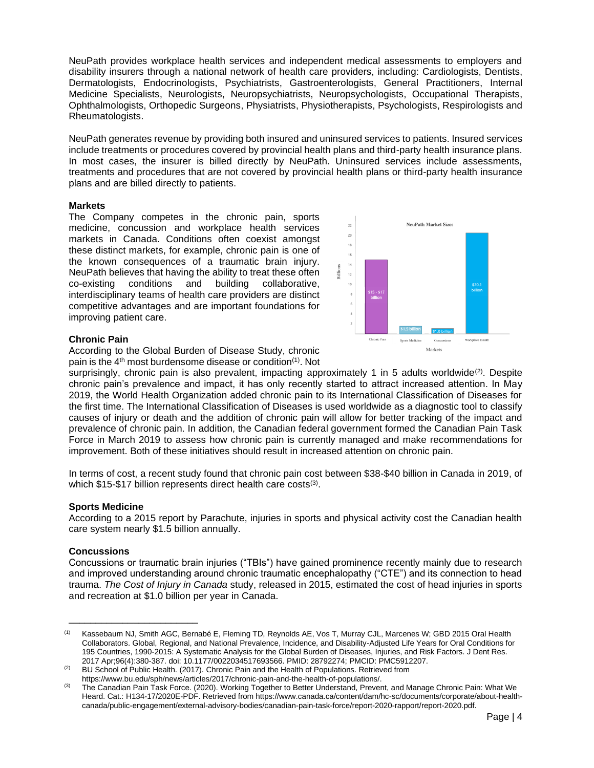NeuPath provides workplace health services and independent medical assessments to employers and disability insurers through a national network of health care providers, including: Cardiologists, Dentists, Dermatologists, Endocrinologists, Psychiatrists, Gastroenterologists, General Practitioners, Internal Medicine Specialists, Neurologists, Neuropsychiatrists, Neuropsychologists, Occupational Therapists, Ophthalmologists, Orthopedic Surgeons, Physiatrists, Physiotherapists, Psychologists, Respirologists and Rheumatologists.

NeuPath generates revenue by providing both insured and uninsured services to patients. Insured services include treatments or procedures covered by provincial health plans and third-party health insurance plans. In most cases, the insurer is billed directly by NeuPath. Uninsured services include assessments, treatments and procedures that are not covered by provincial health plans or third-party health insurance plans and are billed directly to patients.

## **Markets**

The Company competes in the chronic pain, sports medicine, concussion and workplace health services markets in Canada. Conditions often coexist amongst these distinct markets, for example, chronic pain is one of the known consequences of a traumatic brain injury. NeuPath believes that having the ability to treat these often co-existing conditions and building collaborative, interdisciplinary teams of health care providers are distinct competitive advantages and are important foundations for improving patient care.



## **Chronic Pain**

According to the Global Burden of Disease Study, chronic pain is the 4<sup>th</sup> most burdensome disease or condition<sup>(1)</sup>. Not

surprisingly, chronic pain is also prevalent, impacting approximately 1 in 5 adults worldwide<sup>(2)</sup>. Despite chronic pain's prevalence and impact, it has only recently started to attract increased attention. In May 2019, the World Health Organization added chronic pain to its International Classification of Diseases for the first time. The International Classification of Diseases is used worldwide as a diagnostic tool to classify causes of injury or death and the addition of chronic pain will allow for better tracking of the impact and prevalence of chronic pain. In addition, the Canadian federal government formed the Canadian Pain Task Force in March 2019 to assess how chronic pain is currently managed and make recommendations for improvement. Both of these initiatives should result in increased attention on chronic pain.

In terms of cost, a recent study found that chronic pain cost between \$38-\$40 billion in Canada in 2019, of which \$15-\$17 billion represents direct health care costs<sup>(3)</sup>.

## **Sports Medicine**

According to a 2015 report by Parachute, injuries in sports and physical activity cost the Canadian health care system nearly \$1.5 billion annually.

## **Concussions**

\_\_\_\_\_\_\_\_\_\_\_\_\_\_\_\_\_\_\_\_\_\_\_\_

Concussions or traumatic brain injuries ("TBIs") have gained prominence recently mainly due to research and improved understanding around chronic traumatic encephalopathy ("CTE") and its connection to head trauma. *The Cost of Injury in Canada* study, released in 2015, estimated the cost of head injuries in sports and recreation at \$1.0 billion per year in Canada.

<sup>(1)</sup> Kassebaum NJ, Smith AGC, Bernabé E, Fleming TD, Reynolds AE, Vos T, Murray CJL, Marcenes W; GBD 2015 Oral Health Collaborators. Global, Regional, and National Prevalence, Incidence, and Disability-Adjusted Life Years for Oral Conditions for 195 Countries, 1990-2015: A Systematic Analysis for the Global Burden of Diseases, Injuries, and Risk Factors. J Dent Res. 2017 Apr;96(4):380-387. doi: 10.1177/0022034517693566. PMID: 28792274; PMCID: PMC5912207.

BU School of Public Health. (2017). Chronic Pain and the Health of Populations. Retrieved from

https://www.bu.edu/sph/news/articles/2017/chronic-pain-and-the-health-of-populations/.

<sup>&</sup>lt;sup>(3)</sup> The Canadian Pain Task Force. (2020). Working Together to Better Understand, Prevent, and Manage Chronic Pain: What We Heard. Cat.: H134-17/2020E-PDF. Retrieved from https://www.canada.ca/content/dam/hc-sc/documents/corporate/about-healthcanada/public-engagement/external-advisory-bodies/canadian-pain-task-force/report-2020-rapport/report-2020.pdf.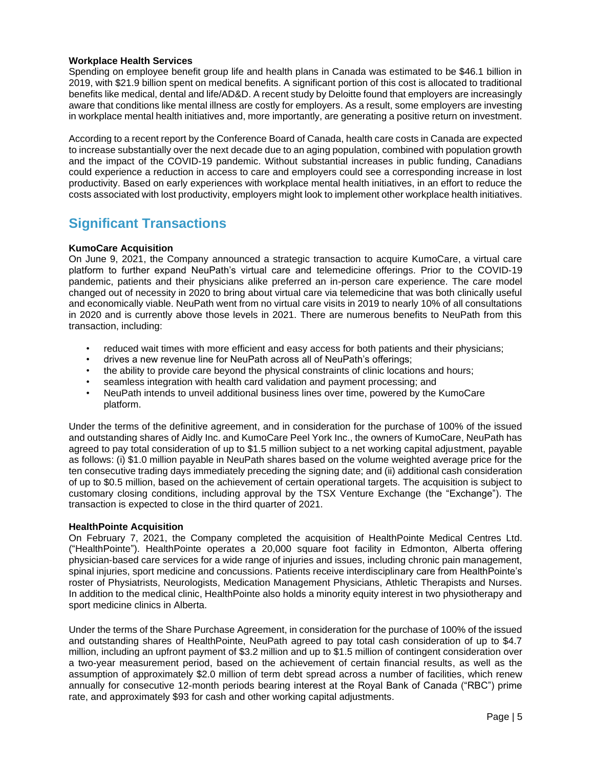## **Workplace Health Services**

Spending on employee benefit group life and health plans in Canada was estimated to be \$46.1 billion in 2019, with \$21.9 billion spent on medical benefits. A significant portion of this cost is allocated to traditional benefits like medical, dental and life/AD&D. A recent study by Deloitte found that employers are increasingly aware that conditions like mental illness are costly for employers. As a result, some employers are investing in workplace mental health initiatives and, more importantly, are generating a positive return on investment.

According to a recent report by the Conference Board of Canada, health care costs in Canada are expected to increase substantially over the next decade due to an aging population, combined with population growth and the impact of the COVID-19 pandemic. Without substantial increases in public funding, Canadians could experience a reduction in access to care and employers could see a corresponding increase in lost productivity. Based on early experiences with workplace mental health initiatives, in an effort to reduce the costs associated with lost productivity, employers might look to implement other workplace health initiatives.

## **Significant Transactions**

## **KumoCare Acquisition**

On June 9, 2021, the Company announced a strategic transaction to acquire KumoCare, a virtual care platform to further expand NeuPath's virtual care and telemedicine offerings. Prior to the COVID-19 pandemic, patients and their physicians alike preferred an in-person care experience. The care model changed out of necessity in 2020 to bring about virtual care via telemedicine that was both clinically useful and economically viable. NeuPath went from no virtual care visits in 2019 to nearly 10% of all consultations in 2020 and is currently above those levels in 2021. There are numerous benefits to NeuPath from this transaction, including:

- reduced wait times with more efficient and easy access for both patients and their physicians;
- drives a new revenue line for NeuPath across all of NeuPath's offerings;
- the ability to provide care beyond the physical constraints of clinic locations and hours;
- seamless integration with health card validation and payment processing; and
- NeuPath intends to unveil additional business lines over time, powered by the KumoCare platform.

Under the terms of the definitive agreement, and in consideration for the purchase of 100% of the issued and outstanding shares of Aidly Inc. and KumoCare Peel York Inc., the owners of KumoCare, NeuPath has agreed to pay total consideration of up to \$1.5 million subject to a net working capital adjustment, payable as follows: (i) \$1.0 million payable in NeuPath shares based on the volume weighted average price for the ten consecutive trading days immediately preceding the signing date; and (ii) additional cash consideration of up to \$0.5 million, based on the achievement of certain operational targets. The acquisition is subject to customary closing conditions, including approval by the TSX Venture Exchange (the "Exchange"). The transaction is expected to close in the third quarter of 2021.

## **HealthPointe Acquisition**

On February 7, 2021, the Company completed the acquisition of HealthPointe Medical Centres Ltd. ("HealthPointe"). HealthPointe operates a 20,000 square foot facility in Edmonton, Alberta offering physician-based care services for a wide range of injuries and issues, including chronic pain management, spinal injuries, sport medicine and concussions. Patients receive interdisciplinary care from HealthPointe's roster of Physiatrists, Neurologists, Medication Management Physicians, Athletic Therapists and Nurses. In addition to the medical clinic, HealthPointe also holds a minority equity interest in two physiotherapy and sport medicine clinics in Alberta.

Under the terms of the Share Purchase Agreement, in consideration for the purchase of 100% of the issued and outstanding shares of HealthPointe, NeuPath agreed to pay total cash consideration of up to \$4.7 million, including an upfront payment of \$3.2 million and up to \$1.5 million of contingent consideration over a two-year measurement period, based on the achievement of certain financial results, as well as the assumption of approximately \$2.0 million of term debt spread across a number of facilities, which renew annually for consecutive 12-month periods bearing interest at the Royal Bank of Canada ("RBC") prime rate, and approximately \$93 for cash and other working capital adjustments.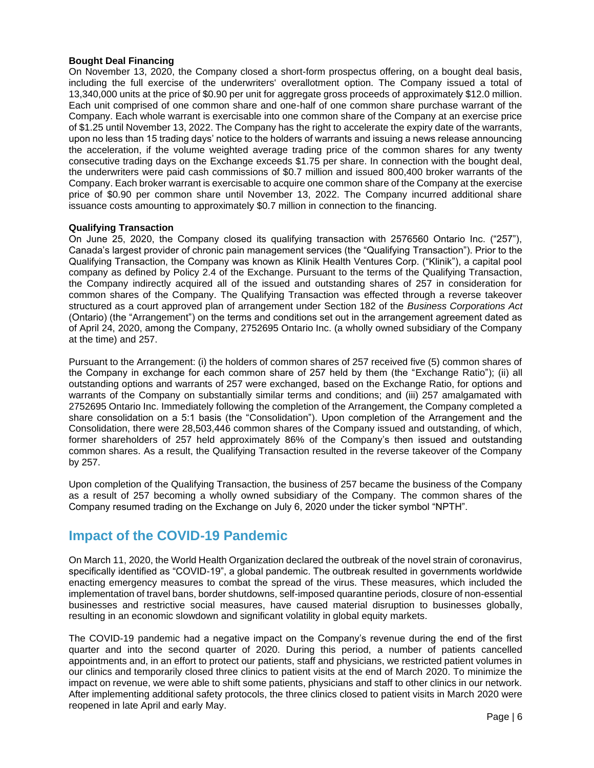## **Bought Deal Financing**

On November 13, 2020, the Company closed a short-form prospectus offering, on a bought deal basis, including the full exercise of the underwriters' overallotment option. The Company issued a total of 13,340,000 units at the price of \$0.90 per unit for aggregate gross proceeds of approximately \$12.0 million. Each unit comprised of one common share and one-half of one common share purchase warrant of the Company. Each whole warrant is exercisable into one common share of the Company at an exercise price of \$1.25 until November 13, 2022. The Company has the right to accelerate the expiry date of the warrants, upon no less than 15 trading days' notice to the holders of warrants and issuing a news release announcing the acceleration, if the volume weighted average trading price of the common shares for any twenty consecutive trading days on the Exchange exceeds \$1.75 per share. In connection with the bought deal, the underwriters were paid cash commissions of \$0.7 million and issued 800,400 broker warrants of the Company. Each broker warrant is exercisable to acquire one common share of the Company at the exercise price of \$0.90 per common share until November 13, 2022. The Company incurred additional share issuance costs amounting to approximately \$0.7 million in connection to the financing.

## **Qualifying Transaction**

On June 25, 2020, the Company closed its qualifying transaction with 2576560 Ontario Inc. ("257"), Canada's largest provider of chronic pain management services (the "Qualifying Transaction"). Prior to the Qualifying Transaction, the Company was known as Klinik Health Ventures Corp. ("Klinik"), a capital pool company as defined by Policy 2.4 of the Exchange. Pursuant to the terms of the Qualifying Transaction, the Company indirectly acquired all of the issued and outstanding shares of 257 in consideration for common shares of the Company. The Qualifying Transaction was effected through a reverse takeover structured as a court approved plan of arrangement under Section 182 of the *Business Corporations Act* (Ontario) (the "Arrangement") on the terms and conditions set out in the arrangement agreement dated as of April 24, 2020, among the Company, 2752695 Ontario Inc. (a wholly owned subsidiary of the Company at the time) and 257.

Pursuant to the Arrangement: (i) the holders of common shares of 257 received five (5) common shares of the Company in exchange for each common share of 257 held by them (the "Exchange Ratio"); (ii) all outstanding options and warrants of 257 were exchanged, based on the Exchange Ratio, for options and warrants of the Company on substantially similar terms and conditions; and (iii) 257 amalgamated with 2752695 Ontario Inc. Immediately following the completion of the Arrangement, the Company completed a share consolidation on a 5:1 basis (the "Consolidation"). Upon completion of the Arrangement and the Consolidation, there were 28,503,446 common shares of the Company issued and outstanding, of which, former shareholders of 257 held approximately 86% of the Company's then issued and outstanding common shares. As a result, the Qualifying Transaction resulted in the reverse takeover of the Company by 257.

Upon completion of the Qualifying Transaction, the business of 257 became the business of the Company as a result of 257 becoming a wholly owned subsidiary of the Company. The common shares of the Company resumed trading on the Exchange on July 6, 2020 under the ticker symbol "NPTH".

## **Impact of the COVID-19 Pandemic**

On March 11, 2020, the World Health Organization declared the outbreak of the novel strain of coronavirus, specifically identified as "COVID-19", a global pandemic. The outbreak resulted in governments worldwide enacting emergency measures to combat the spread of the virus. These measures, which included the implementation of travel bans, border shutdowns, self-imposed quarantine periods, closure of non-essential businesses and restrictive social measures, have caused material disruption to businesses globally, resulting in an economic slowdown and significant volatility in global equity markets.

The COVID-19 pandemic had a negative impact on the Company's revenue during the end of the first quarter and into the second quarter of 2020. During this period, a number of patients cancelled appointments and, in an effort to protect our patients, staff and physicians, we restricted patient volumes in our clinics and temporarily closed three clinics to patient visits at the end of March 2020. To minimize the impact on revenue, we were able to shift some patients, physicians and staff to other clinics in our network. After implementing additional safety protocols, the three clinics closed to patient visits in March 2020 were reopened in late April and early May.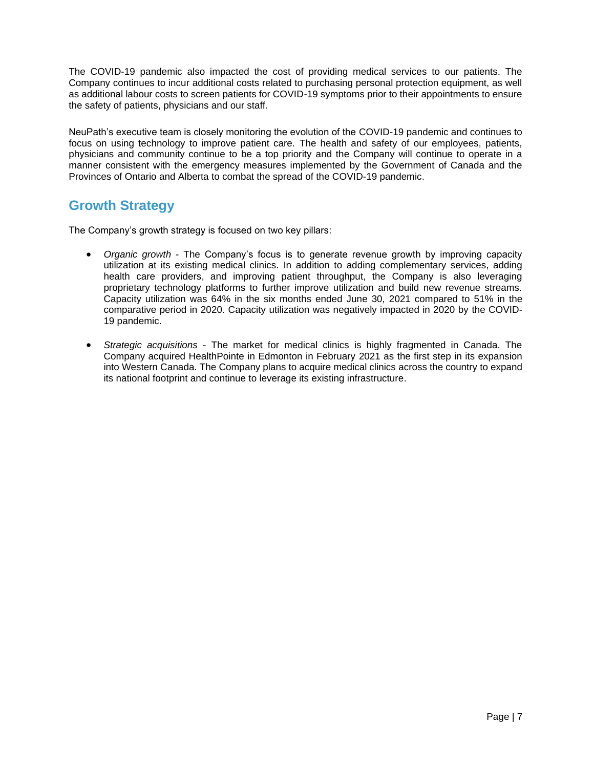The COVID-19 pandemic also impacted the cost of providing medical services to our patients. The Company continues to incur additional costs related to purchasing personal protection equipment, as well as additional labour costs to screen patients for COVID-19 symptoms prior to their appointments to ensure the safety of patients, physicians and our staff.

NeuPath's executive team is closely monitoring the evolution of the COVID-19 pandemic and continues to focus on using technology to improve patient care. The health and safety of our employees, patients, physicians and community continue to be a top priority and the Company will continue to operate in a manner consistent with the emergency measures implemented by the Government of Canada and the Provinces of Ontario and Alberta to combat the spread of the COVID-19 pandemic.

## **Growth Strategy**

The Company's growth strategy is focused on two key pillars:

- *Organic growth* The Company's focus is to generate revenue growth by improving capacity utilization at its existing medical clinics. In addition to adding complementary services, adding health care providers, and improving patient throughput, the Company is also leveraging proprietary technology platforms to further improve utilization and build new revenue streams. Capacity utilization was 64% in the six months ended June 30, 2021 compared to 51% in the comparative period in 2020. Capacity utilization was negatively impacted in 2020 by the COVID-19 pandemic.
- *Strategic acquisitions* The market for medical clinics is highly fragmented in Canada. The Company acquired HealthPointe in Edmonton in February 2021 as the first step in its expansion into Western Canada. The Company plans to acquire medical clinics across the country to expand its national footprint and continue to leverage its existing infrastructure.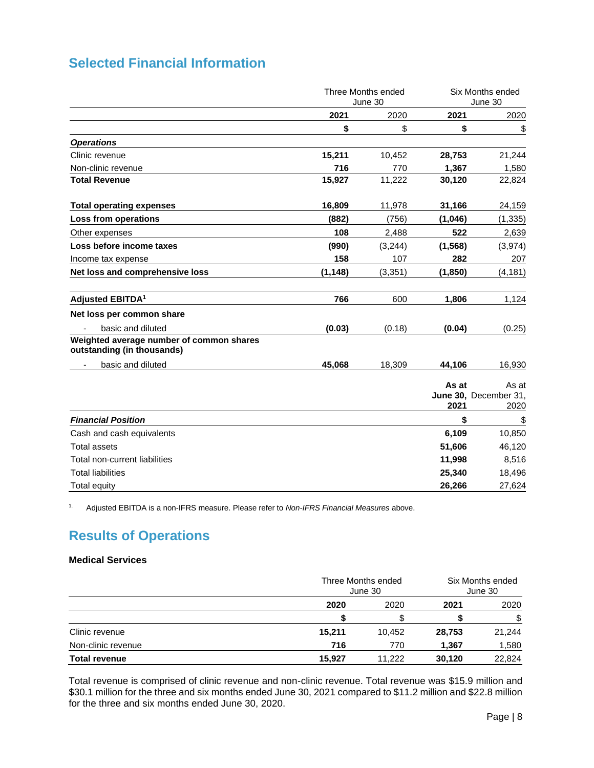|                                                                        | Three Months ended<br>June 30 |          |               | Six Months ended<br>June 30            |  |
|------------------------------------------------------------------------|-------------------------------|----------|---------------|----------------------------------------|--|
|                                                                        | 2021                          | 2020     | 2021          | 2020                                   |  |
|                                                                        | \$                            | \$       | \$            | \$                                     |  |
| <b>Operations</b>                                                      |                               |          |               |                                        |  |
| Clinic revenue                                                         | 15,211                        | 10,452   | 28,753        | 21,244                                 |  |
| Non-clinic revenue                                                     | 716                           | 770      | 1,367         | 1,580                                  |  |
| <b>Total Revenue</b>                                                   | 15,927                        | 11,222   | 30,120        | 22,824                                 |  |
| <b>Total operating expenses</b>                                        | 16,809                        | 11,978   | 31,166        | 24,159                                 |  |
| Loss from operations                                                   | (882)                         | (756)    | (1,046)       | (1, 335)                               |  |
| Other expenses                                                         | 108                           | 2,488    | 522           | 2,639                                  |  |
| Loss before income taxes                                               | (990)                         | (3,244)  | (1, 568)      | (3, 974)                               |  |
| Income tax expense                                                     | 158                           | 107      | 282           | 207                                    |  |
| Net loss and comprehensive loss                                        | (1, 148)                      | (3, 351) | (1, 850)      | (4, 181)                               |  |
| Adjusted EBITDA <sup>1</sup>                                           | 766                           | 600      | 1,806         | 1,124                                  |  |
| Net loss per common share                                              |                               |          |               |                                        |  |
| basic and diluted                                                      | (0.03)                        | (0.18)   | (0.04)        | (0.25)                                 |  |
| Weighted average number of common shares<br>outstanding (in thousands) |                               |          |               |                                        |  |
| basic and diluted                                                      | 45,068                        | 18,309   | 44,106        | 16,930                                 |  |
|                                                                        |                               |          | As at<br>2021 | As at<br>June 30, December 31,<br>2020 |  |
| <b>Financial Position</b>                                              |                               |          | \$            | $\overline{\mathcal{L}}$               |  |
| Cash and cash equivalents                                              |                               |          | 6,109         | 10,850                                 |  |
| <b>Total assets</b>                                                    |                               |          | 51,606        | 46,120                                 |  |
| Total non-current liabilities                                          |                               |          | 11,998        | 8,516                                  |  |
| <b>Total liabilities</b>                                               |                               |          | 25,340        | 18,496                                 |  |
| <b>Total equity</b>                                                    |                               |          | 26,266        | 27,624                                 |  |

1. Adjusted EBITDA is a non-IFRS measure. Please refer to *Non-IFRS Financial Measures* above.

# **Results of Operations**

## **Medical Services**

|                      |        | Three Months ended<br>June 30 |        | Six Months ended<br>June 30 |
|----------------------|--------|-------------------------------|--------|-----------------------------|
|                      | 2020   | 2020                          | 2021   | 2020                        |
|                      |        |                               |        | \$                          |
| Clinic revenue       | 15,211 | 10.452                        | 28,753 | 21,244                      |
| Non-clinic revenue   | 716    | 770                           | 1,367  | 1,580                       |
| <b>Total revenue</b> | 15,927 | 11.222                        | 30,120 | 22,824                      |

Total revenue is comprised of clinic revenue and non-clinic revenue. Total revenue was \$15.9 million and \$30.1 million for the three and six months ended June 30, 2021 compared to \$11.2 million and \$22.8 million for the three and six months ended June 30, 2020.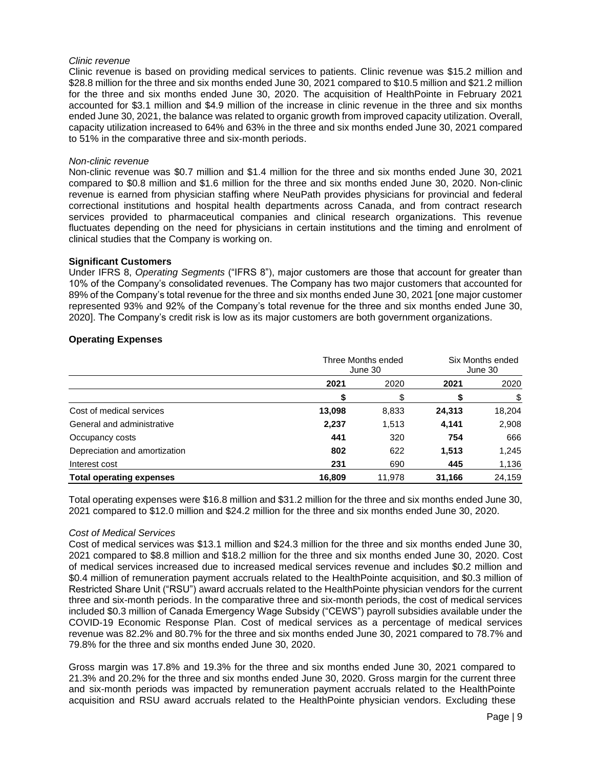## *Clinic revenue*

Clinic revenue is based on providing medical services to patients. Clinic revenue was \$15.2 million and \$28.8 million for the three and six months ended June 30, 2021 compared to \$10.5 million and \$21.2 million for the three and six months ended June 30, 2020. The acquisition of HealthPointe in February 2021 accounted for \$3.1 million and \$4.9 million of the increase in clinic revenue in the three and six months ended June 30, 2021, the balance was related to organic growth from improved capacity utilization. Overall, capacity utilization increased to 64% and 63% in the three and six months ended June 30, 2021 compared to 51% in the comparative three and six-month periods.

#### *Non-clinic revenue*

Non-clinic revenue was \$0.7 million and \$1.4 million for the three and six months ended June 30, 2021 compared to \$0.8 million and \$1.6 million for the three and six months ended June 30, 2020. Non-clinic revenue is earned from physician staffing where NeuPath provides physicians for provincial and federal correctional institutions and hospital health departments across Canada, and from contract research services provided to pharmaceutical companies and clinical research organizations. This revenue fluctuates depending on the need for physicians in certain institutions and the timing and enrolment of clinical studies that the Company is working on.

#### **Significant Customers**

Under IFRS 8, *Operating Segments* ("IFRS 8"), major customers are those that account for greater than 10% of the Company's consolidated revenues. The Company has two major customers that accounted for 89% of the Company's total revenue for the three and six months ended June 30, 2021 [one major customer represented 93% and 92% of the Company's total revenue for the three and six months ended June 30, 2020]. The Company's credit risk is low as its major customers are both government organizations.

## **Operating Expenses**

|                                 | Three Months ended<br>June 30 |        | Six Months ended<br>June 30 |        |
|---------------------------------|-------------------------------|--------|-----------------------------|--------|
|                                 | 2021                          | 2020   | 2021                        | 2020   |
|                                 |                               | \$     |                             |        |
| Cost of medical services        | 13,098                        | 8,833  | 24,313                      | 18,204 |
| General and administrative      | 2,237                         | 1,513  | 4,141                       | 2,908  |
| Occupancy costs                 | 441                           | 320    | 754                         | 666    |
| Depreciation and amortization   | 802                           | 622    | 1,513                       | 1,245  |
| Interest cost                   | 231                           | 690    | 445                         | 1,136  |
| <b>Total operating expenses</b> | 16.809                        | 11.978 | 31,166                      | 24.159 |

Total operating expenses were \$16.8 million and \$31.2 million for the three and six months ended June 30, 2021 compared to \$12.0 million and \$24.2 million for the three and six months ended June 30, 2020.

#### *Cost of Medical Services*

Cost of medical services was \$13.1 million and \$24.3 million for the three and six months ended June 30, 2021 compared to \$8.8 million and \$18.2 million for the three and six months ended June 30, 2020. Cost of medical services increased due to increased medical services revenue and includes \$0.2 million and \$0.4 million of remuneration payment accruals related to the HealthPointe acquisition, and \$0.3 million of Restricted Share Unit ("RSU") award accruals related to the HealthPointe physician vendors for the current three and six-month periods. In the comparative three and six-month periods, the cost of medical services included \$0.3 million of Canada Emergency Wage Subsidy ("CEWS") payroll subsidies available under the COVID-19 Economic Response Plan. Cost of medical services as a percentage of medical services revenue was 82.2% and 80.7% for the three and six months ended June 30, 2021 compared to 78.7% and 79.8% for the three and six months ended June 30, 2020.

Gross margin was 17.8% and 19.3% for the three and six months ended June 30, 2021 compared to 21.3% and 20.2% for the three and six months ended June 30, 2020. Gross margin for the current three and six-month periods was impacted by remuneration payment accruals related to the HealthPointe acquisition and RSU award accruals related to the HealthPointe physician vendors. Excluding these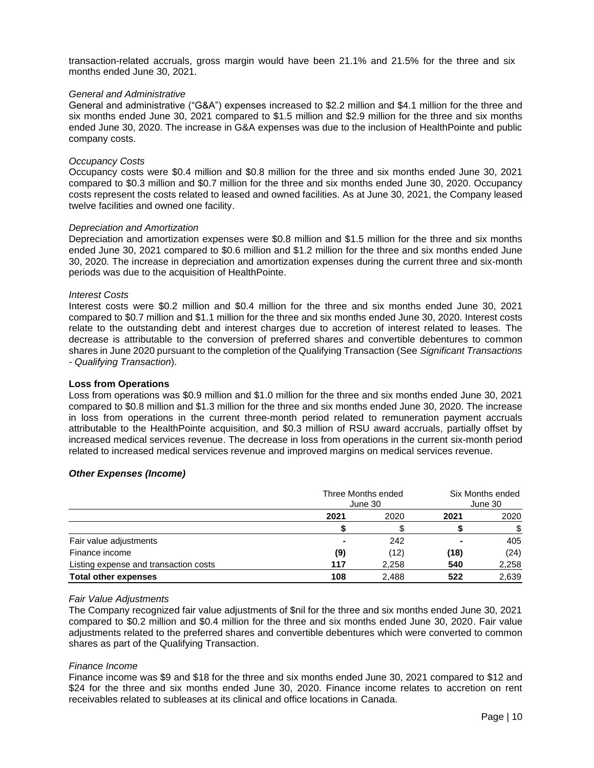transaction-related accruals, gross margin would have been 21.1% and 21.5% for the three and six months ended June 30, 2021.

#### *General and Administrative*

General and administrative ("G&A") expenses increased to \$2.2 million and \$4.1 million for the three and six months ended June 30, 2021 compared to \$1.5 million and \$2.9 million for the three and six months ended June 30, 2020. The increase in G&A expenses was due to the inclusion of HealthPointe and public company costs.

#### *Occupancy Costs*

Occupancy costs were \$0.4 million and \$0.8 million for the three and six months ended June 30, 2021 compared to \$0.3 million and \$0.7 million for the three and six months ended June 30, 2020. Occupancy costs represent the costs related to leased and owned facilities. As at June 30, 2021, the Company leased twelve facilities and owned one facility.

#### *Depreciation and Amortization*

Depreciation and amortization expenses were \$0.8 million and \$1.5 million for the three and six months ended June 30, 2021 compared to \$0.6 million and \$1.2 million for the three and six months ended June 30, 2020. The increase in depreciation and amortization expenses during the current three and six-month periods was due to the acquisition of HealthPointe.

#### *Interest Costs*

Interest costs were \$0.2 million and \$0.4 million for the three and six months ended June 30, 2021 compared to \$0.7 million and \$1.1 million for the three and six months ended June 30, 2020. Interest costs relate to the outstanding debt and interest charges due to accretion of interest related to leases. The decrease is attributable to the conversion of preferred shares and convertible debentures to common shares in June 2020 pursuant to the completion of the Qualifying Transaction (See *Significant Transactions - Qualifying Transaction*).

#### **Loss from Operations**

Loss from operations was \$0.9 million and \$1.0 million for the three and six months ended June 30, 2021 compared to \$0.8 million and \$1.3 million for the three and six months ended June 30, 2020. The increase in loss from operations in the current three-month period related to remuneration payment accruals attributable to the HealthPointe acquisition, and \$0.3 million of RSU award accruals, partially offset by increased medical services revenue. The decrease in loss from operations in the current six-month period related to increased medical services revenue and improved margins on medical services revenue.

## *Other Expenses (Income)*

|                                       | Three Months ended<br>June 30 |       | Six Months ended<br>June 30 |       |
|---------------------------------------|-------------------------------|-------|-----------------------------|-------|
|                                       | 2021                          | 2020  | 2021                        | 2020  |
|                                       |                               |       |                             | \$    |
| Fair value adjustments                |                               | 242   |                             | 405   |
| Finance income                        | (9)                           | (12)  | (18)                        | (24)  |
| Listing expense and transaction costs | 117                           | 2,258 | 540                         | 2,258 |
| <b>Total other expenses</b>           | 108                           | 2.488 | 522                         | 2,639 |

#### *Fair Value Adjustments*

The Company recognized fair value adjustments of \$nil for the three and six months ended June 30, 2021 compared to \$0.2 million and \$0.4 million for the three and six months ended June 30, 2020. Fair value adjustments related to the preferred shares and convertible debentures which were converted to common shares as part of the Qualifying Transaction.

#### *Finance Income*

Finance income was \$9 and \$18 for the three and six months ended June 30, 2021 compared to \$12 and \$24 for the three and six months ended June 30, 2020. Finance income relates to accretion on rent receivables related to subleases at its clinical and office locations in Canada.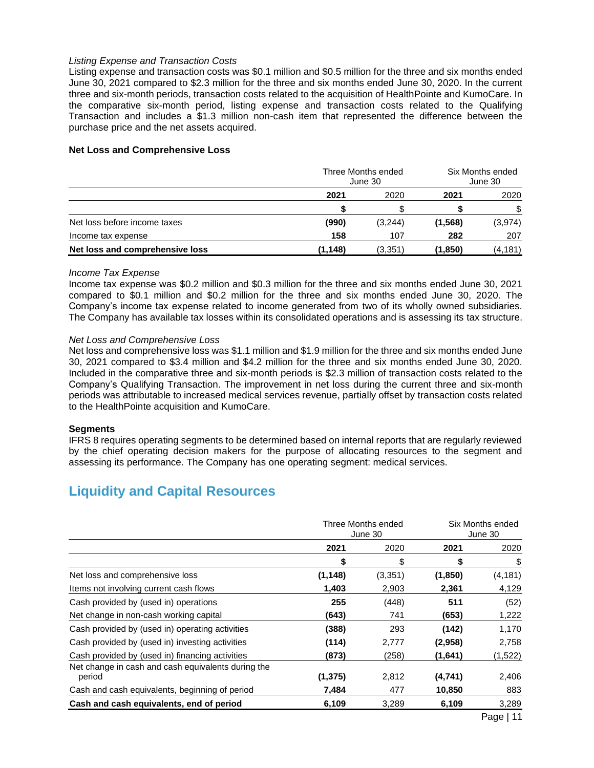### *Listing Expense and Transaction Costs*

Listing expense and transaction costs was \$0.1 million and \$0.5 million for the three and six months ended June 30, 2021 compared to \$2.3 million for the three and six months ended June 30, 2020. In the current three and six-month periods, transaction costs related to the acquisition of HealthPointe and KumoCare. In the comparative six-month period, listing expense and transaction costs related to the Qualifying Transaction and includes a \$1.3 million non-cash item that represented the difference between the purchase price and the net assets acquired.

### **Net Loss and Comprehensive Loss**

|                                 | Three Months ended<br>June 30 |         | Six Months ended<br>June 30 |         |
|---------------------------------|-------------------------------|---------|-----------------------------|---------|
|                                 | 2021                          | 2020    | 2021                        | 2020    |
|                                 |                               |         |                             | \$      |
| Net loss before income taxes    | (990)                         | (3,244) | (1, 568)                    | (3,974) |
| Income tax expense              | 158                           | 107     | 282                         | 207     |
| Net loss and comprehensive loss | (1,148)                       | (3,351) | (1,850)                     | (4,181) |

#### *Income Tax Expense*

Income tax expense was \$0.2 million and \$0.3 million for the three and six months ended June 30, 2021 compared to \$0.1 million and \$0.2 million for the three and six months ended June 30, 2020. The Company's income tax expense related to income generated from two of its wholly owned subsidiaries. The Company has available tax losses within its consolidated operations and is assessing its tax structure.

#### *Net Loss and Comprehensive Loss*

Net loss and comprehensive loss was \$1.1 million and \$1.9 million for the three and six months ended June 30, 2021 compared to \$3.4 million and \$4.2 million for the three and six months ended June 30, 2020. Included in the comparative three and six-month periods is \$2.3 million of transaction costs related to the Company's Qualifying Transaction. The improvement in net loss during the current three and six-month periods was attributable to increased medical services revenue, partially offset by transaction costs related to the HealthPointe acquisition and KumoCare.

## **Segments**

IFRS 8 requires operating segments to be determined based on internal reports that are regularly reviewed by the chief operating decision makers for the purpose of allocating resources to the segment and assessing its performance. The Company has one operating segment: medical services.

## **Liquidity and Capital Resources**

|                                                              | Three Months ended<br>June 30 |         |          | Six Months ended<br>June 30 |
|--------------------------------------------------------------|-------------------------------|---------|----------|-----------------------------|
|                                                              | 2021                          | 2020    | 2021     | 2020                        |
|                                                              | \$                            | \$      | \$       | \$                          |
| Net loss and comprehensive loss                              | (1, 148)                      | (3,351) | (1, 850) | (4, 181)                    |
| Items not involving current cash flows                       | 1,403                         | 2,903   | 2,361    | 4,129                       |
| Cash provided by (used in) operations                        | 255                           | (448)   | 511      | (52)                        |
| Net change in non-cash working capital                       | (643)                         | 741     | (653)    | 1,222                       |
| Cash provided by (used in) operating activities              | (388)                         | 293     | (142)    | 1,170                       |
| Cash provided by (used in) investing activities              | (114)                         | 2,777   | (2,958)  | 2,758                       |
| Cash provided by (used in) financing activities              | (873)                         | (258)   | (1,641)  | (1,522)                     |
| Net change in cash and cash equivalents during the<br>period | (1, 375)                      | 2,812   | (4,741)  | 2,406                       |
| Cash and cash equivalents, beginning of period               | 7,484                         | 477     | 10,850   | 883                         |
| Cash and cash equivalents, end of period                     | 6,109                         | 3,289   | 6,109    | 3,289                       |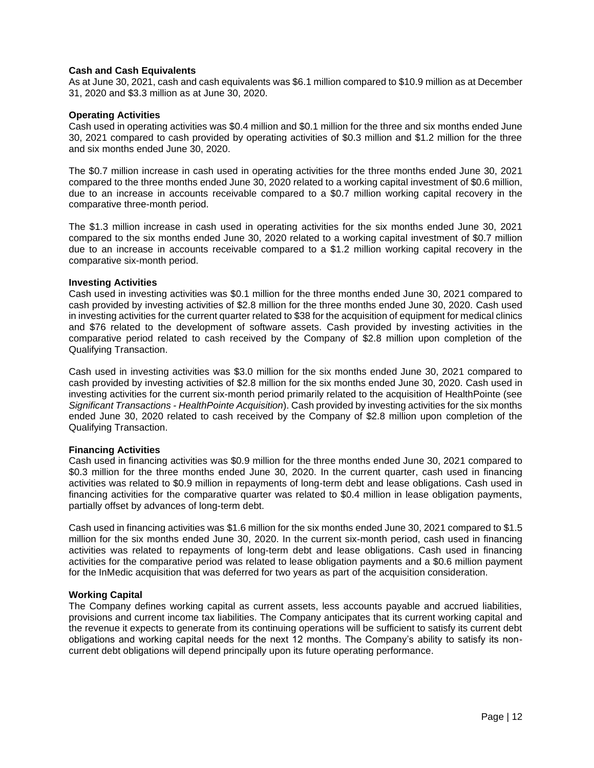## **Cash and Cash Equivalents**

As at June 30, 2021, cash and cash equivalents was \$6.1 million compared to \$10.9 million as at December 31, 2020 and \$3.3 million as at June 30, 2020.

#### **Operating Activities**

Cash used in operating activities was \$0.4 million and \$0.1 million for the three and six months ended June 30, 2021 compared to cash provided by operating activities of \$0.3 million and \$1.2 million for the three and six months ended June 30, 2020.

The \$0.7 million increase in cash used in operating activities for the three months ended June 30, 2021 compared to the three months ended June 30, 2020 related to a working capital investment of \$0.6 million, due to an increase in accounts receivable compared to a \$0.7 million working capital recovery in the comparative three-month period.

The \$1.3 million increase in cash used in operating activities for the six months ended June 30, 2021 compared to the six months ended June 30, 2020 related to a working capital investment of \$0.7 million due to an increase in accounts receivable compared to a \$1.2 million working capital recovery in the comparative six-month period.

#### **Investing Activities**

Cash used in investing activities was \$0.1 million for the three months ended June 30, 2021 compared to cash provided by investing activities of \$2.8 million for the three months ended June 30, 2020. Cash used in investing activities for the current quarter related to \$38 for the acquisition of equipment for medical clinics and \$76 related to the development of software assets. Cash provided by investing activities in the comparative period related to cash received by the Company of \$2.8 million upon completion of the Qualifying Transaction.

Cash used in investing activities was \$3.0 million for the six months ended June 30, 2021 compared to cash provided by investing activities of \$2.8 million for the six months ended June 30, 2020. Cash used in investing activities for the current six-month period primarily related to the acquisition of HealthPointe (see *Significant Transactions - HealthPointe Acquisition*). Cash provided by investing activities for the six months ended June 30, 2020 related to cash received by the Company of \$2.8 million upon completion of the Qualifying Transaction.

#### **Financing Activities**

Cash used in financing activities was \$0.9 million for the three months ended June 30, 2021 compared to \$0.3 million for the three months ended June 30, 2020. In the current quarter, cash used in financing activities was related to \$0.9 million in repayments of long-term debt and lease obligations. Cash used in financing activities for the comparative quarter was related to \$0.4 million in lease obligation payments, partially offset by advances of long-term debt.

Cash used in financing activities was \$1.6 million for the six months ended June 30, 2021 compared to \$1.5 million for the six months ended June 30, 2020. In the current six-month period, cash used in financing activities was related to repayments of long-term debt and lease obligations. Cash used in financing activities for the comparative period was related to lease obligation payments and a \$0.6 million payment for the InMedic acquisition that was deferred for two years as part of the acquisition consideration.

## **Working Capital**

The Company defines working capital as current assets, less accounts payable and accrued liabilities, provisions and current income tax liabilities. The Company anticipates that its current working capital and the revenue it expects to generate from its continuing operations will be sufficient to satisfy its current debt obligations and working capital needs for the next 12 months. The Company's ability to satisfy its noncurrent debt obligations will depend principally upon its future operating performance.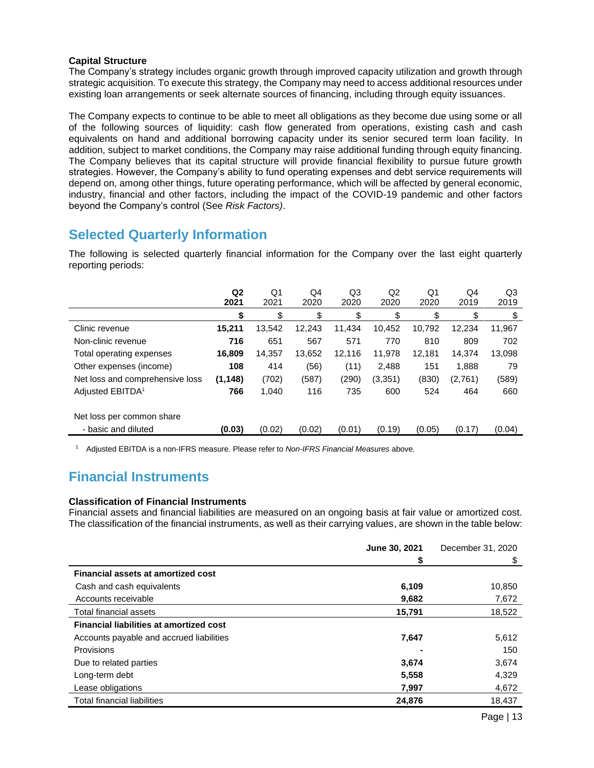## **Capital Structure**

The Company's strategy includes organic growth through improved capacity utilization and growth through strategic acquisition. To execute this strategy, the Company may need to access additional resources under existing loan arrangements or seek alternate sources of financing, including through equity issuances.

The Company expects to continue to be able to meet all obligations as they become due using some or all of the following sources of liquidity: cash flow generated from operations, existing cash and cash equivalents on hand and additional borrowing capacity under its senior secured term loan facility. In addition, subject to market conditions, the Company may raise additional funding through equity financing. The Company believes that its capital structure will provide financial flexibility to pursue future growth strategies. However, the Company's ability to fund operating expenses and debt service requirements will depend on, among other things, future operating performance, which will be affected by general economic, industry, financial and other factors, including the impact of the COVID-19 pandemic and other factors beyond the Company's control (See *Risk Factors)*.

## **Selected Quarterly Information**

The following is selected quarterly financial information for the Company over the last eight quarterly reporting periods:

|                                 | Q <sub>2</sub><br>2021 | Q <sub>1</sub><br>2021 | Q4<br>2020 | Q3<br>2020 | Q2<br>2020 | Q <sub>1</sub><br>2020 | Q4<br>2019 | Q3<br>2019 |
|---------------------------------|------------------------|------------------------|------------|------------|------------|------------------------|------------|------------|
|                                 | \$                     | \$                     | \$         | \$         | \$         | \$                     | \$         | \$         |
| Clinic revenue                  | 15,211                 | 13.542                 | 12,243     | 11,434     | 10.452     | 10,792                 | 12,234     | 11,967     |
| Non-clinic revenue              | 716                    | 651                    | 567        | 571        | 770        | 810                    | 809        | 702        |
| Total operating expenses        | 16,809                 | 14,357                 | 13,652     | 12,116     | 11,978     | 12,181                 | 14,374     | 13,098     |
| Other expenses (income)         | 108                    | 414                    | (56)       | (11)       | 2,488      | 151                    | 1,888      | 79         |
| Net loss and comprehensive loss | (1, 148)               | (702)                  | (587)      | (290)      | (3, 351)   | (830)                  | (2,761)    | (589)      |
| Adjusted EBITDA <sup>1</sup>    | 766                    | 1,040                  | 116        | 735        | 600        | 524                    | 464        | 660        |
| Net loss per common share       |                        |                        |            |            |            |                        |            |            |
| - basic and diluted             | (0.03)                 | (0.02)                 | (0.02)     | (0.01)     | (0.19)     | (0.05)                 | (0.17)     | (0.04)     |

<sup>1</sup> Adjusted EBITDA is a non-IFRS measure. Please refer to *Non-IFRS Financial Measures* above.

# **Financial Instruments**

## **Classification of Financial Instruments**

Financial assets and financial liabilities are measured on an ongoing basis at fair value or amortized cost. The classification of the financial instruments, as well as their carrying values, are shown in the table below:

|                                                | June 30, 2021 | December 31, 2020 |
|------------------------------------------------|---------------|-------------------|
|                                                | \$            | \$                |
| Financial assets at amortized cost             |               |                   |
| Cash and cash equivalents                      | 6,109         | 10,850            |
| Accounts receivable                            | 9,682         | 7,672             |
| Total financial assets                         | 15,791        | 18,522            |
| <b>Financial liabilities at amortized cost</b> |               |                   |
| Accounts payable and accrued liabilities       | 7,647         | 5,612             |
| <b>Provisions</b>                              |               | 150               |
| Due to related parties                         | 3,674         | 3,674             |
| Long-term debt                                 | 5,558         | 4,329             |
| Lease obligations                              | 7,997         | 4,672             |
| <b>Total financial liabilities</b>             | 24,876        | 18,437            |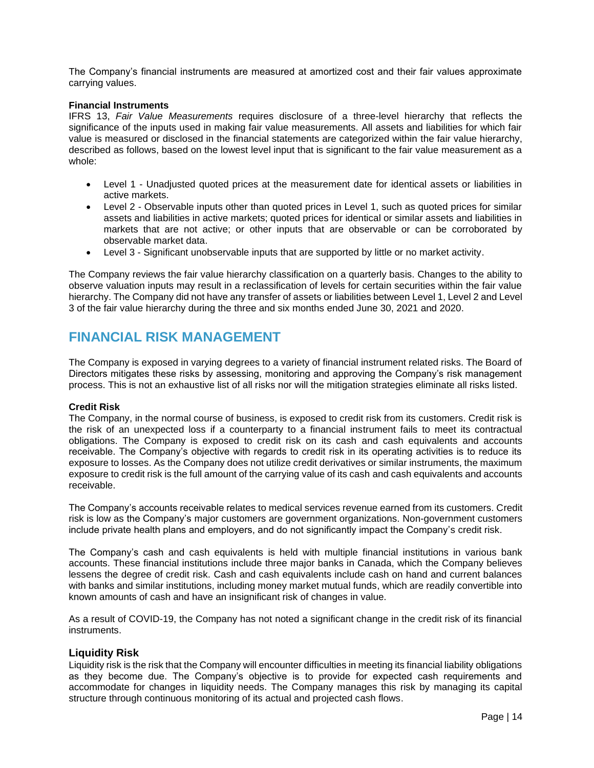The Company's financial instruments are measured at amortized cost and their fair values approximate carrying values.

### **Financial Instruments**

IFRS 13, *Fair Value Measurements* requires disclosure of a three-level hierarchy that reflects the significance of the inputs used in making fair value measurements. All assets and liabilities for which fair value is measured or disclosed in the financial statements are categorized within the fair value hierarchy, described as follows, based on the lowest level input that is significant to the fair value measurement as a whole:

- Level 1 Unadjusted quoted prices at the measurement date for identical assets or liabilities in active markets.
- Level 2 Observable inputs other than quoted prices in Level 1, such as quoted prices for similar assets and liabilities in active markets; quoted prices for identical or similar assets and liabilities in markets that are not active; or other inputs that are observable or can be corroborated by observable market data.
- Level 3 Significant unobservable inputs that are supported by little or no market activity.

The Company reviews the fair value hierarchy classification on a quarterly basis. Changes to the ability to observe valuation inputs may result in a reclassification of levels for certain securities within the fair value hierarchy. The Company did not have any transfer of assets or liabilities between Level 1, Level 2 and Level 3 of the fair value hierarchy during the three and six months ended June 30, 2021 and 2020.

## **FINANCIAL RISK MANAGEMENT**

The Company is exposed in varying degrees to a variety of financial instrument related risks. The Board of Directors mitigates these risks by assessing, monitoring and approving the Company's risk management process. This is not an exhaustive list of all risks nor will the mitigation strategies eliminate all risks listed.

## **Credit Risk**

The Company, in the normal course of business, is exposed to credit risk from its customers. Credit risk is the risk of an unexpected loss if a counterparty to a financial instrument fails to meet its contractual obligations. The Company is exposed to credit risk on its cash and cash equivalents and accounts receivable. The Company's objective with regards to credit risk in its operating activities is to reduce its exposure to losses. As the Company does not utilize credit derivatives or similar instruments, the maximum exposure to credit risk is the full amount of the carrying value of its cash and cash equivalents and accounts receivable.

The Company's accounts receivable relates to medical services revenue earned from its customers. Credit risk is low as the Company's major customers are government organizations. Non-government customers include private health plans and employers, and do not significantly impact the Company's credit risk.

The Company's cash and cash equivalents is held with multiple financial institutions in various bank accounts. These financial institutions include three major banks in Canada, which the Company believes lessens the degree of credit risk. Cash and cash equivalents include cash on hand and current balances with banks and similar institutions, including money market mutual funds, which are readily convertible into known amounts of cash and have an insignificant risk of changes in value.

As a result of COVID-19, the Company has not noted a significant change in the credit risk of its financial instruments.

## **Liquidity Risk**

Liquidity risk is the risk that the Company will encounter difficulties in meeting its financial liability obligations as they become due. The Company's objective is to provide for expected cash requirements and accommodate for changes in liquidity needs. The Company manages this risk by managing its capital structure through continuous monitoring of its actual and projected cash flows.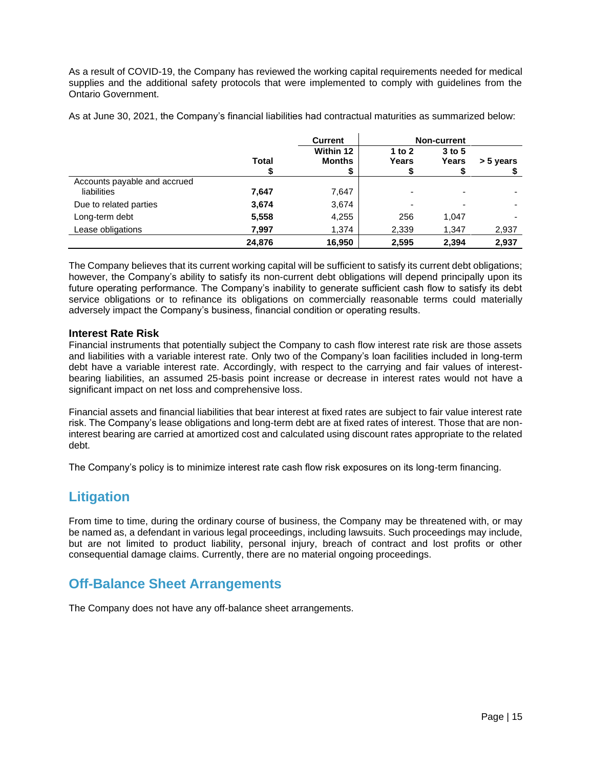As a result of COVID-19, the Company has reviewed the working capital requirements needed for medical supplies and the additional safety protocols that were implemented to comply with guidelines from the Ontario Government.

As at June 30, 2021, the Company's financial liabilities had contractual maturities as summarized below:

|                              |              | <b>Current</b> |                          | <b>Non-current</b> |           |
|------------------------------|--------------|----------------|--------------------------|--------------------|-----------|
|                              |              | Within 12      | 1 to $2$                 | $3$ to 5           |           |
|                              | <b>Total</b> | <b>Months</b>  | Years                    | Years              | > 5 years |
|                              |              | \$             |                          |                    |           |
| Accounts payable and accrued |              |                |                          |                    |           |
| liabilities                  | 7,647        | 7,647          | $\overline{\phantom{0}}$ |                    |           |
| Due to related parties       | 3,674        | 3,674          | $\overline{\phantom{a}}$ |                    |           |
| Long-term debt               | 5,558        | 4,255          | 256                      | 1,047              |           |
| Lease obligations            | 7,997        | 1,374          | 2,339                    | 1,347              | 2,937     |
|                              | 24,876       | 16,950         | 2,595                    | 2,394              | 2,937     |

The Company believes that its current working capital will be sufficient to satisfy its current debt obligations; however, the Company's ability to satisfy its non-current debt obligations will depend principally upon its future operating performance. The Company's inability to generate sufficient cash flow to satisfy its debt service obligations or to refinance its obligations on commercially reasonable terms could materially adversely impact the Company's business, financial condition or operating results.

## **Interest Rate Risk**

Financial instruments that potentially subject the Company to cash flow interest rate risk are those assets and liabilities with a variable interest rate. Only two of the Company's loan facilities included in long-term debt have a variable interest rate. Accordingly, with respect to the carrying and fair values of interestbearing liabilities, an assumed 25-basis point increase or decrease in interest rates would not have a significant impact on net loss and comprehensive loss.

Financial assets and financial liabilities that bear interest at fixed rates are subject to fair value interest rate risk. The Company's lease obligations and long-term debt are at fixed rates of interest. Those that are noninterest bearing are carried at amortized cost and calculated using discount rates appropriate to the related debt.

The Company's policy is to minimize interest rate cash flow risk exposures on its long-term financing.

## **Litigation**

From time to time, during the ordinary course of business, the Company may be threatened with, or may be named as, a defendant in various legal proceedings, including lawsuits. Such proceedings may include, but are not limited to product liability, personal injury, breach of contract and lost profits or other consequential damage claims. Currently, there are no material ongoing proceedings.

# **Off-Balance Sheet Arrangements**

The Company does not have any off-balance sheet arrangements.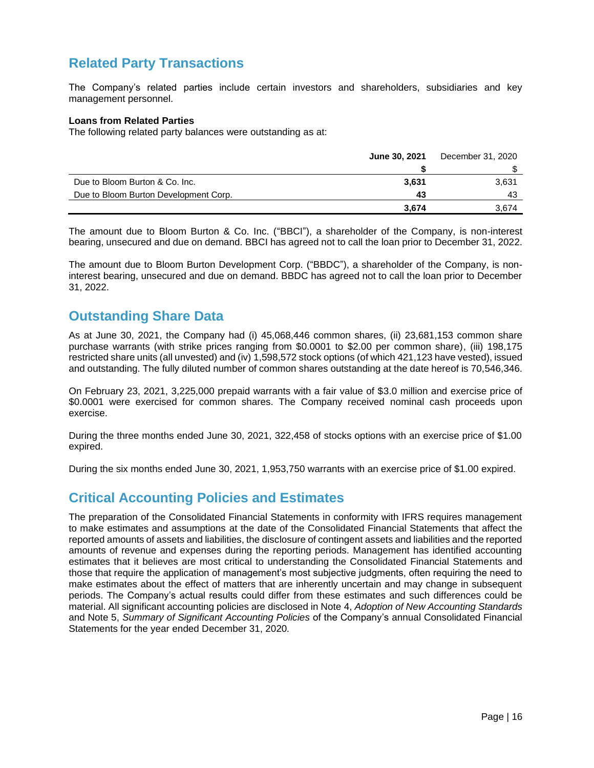# **Related Party Transactions**

The Company's related parties include certain investors and shareholders, subsidiaries and key management personnel.

### **Loans from Related Parties**

The following related party balances were outstanding as at:

|                                       | December 31, 2020<br>June 30, 2021 |       |
|---------------------------------------|------------------------------------|-------|
|                                       |                                    |       |
| Due to Bloom Burton & Co. Inc.        | 3.631                              | 3,631 |
| Due to Bloom Burton Development Corp. | 43                                 | 43    |
|                                       | 3.674                              | 3.674 |

The amount due to Bloom Burton & Co. Inc. ("BBCI"), a shareholder of the Company, is non-interest bearing, unsecured and due on demand. BBCI has agreed not to call the loan prior to December 31, 2022.

The amount due to Bloom Burton Development Corp. ("BBDC"), a shareholder of the Company, is noninterest bearing, unsecured and due on demand. BBDC has agreed not to call the loan prior to December 31, 2022.

## **Outstanding Share Data**

As at June 30, 2021, the Company had (i) 45,068,446 common shares, (ii) 23,681,153 common share purchase warrants (with strike prices ranging from \$0.0001 to \$2.00 per common share), (iii) 198,175 restricted share units (all unvested) and (iv) 1,598,572 stock options (of which 421,123 have vested), issued and outstanding. The fully diluted number of common shares outstanding at the date hereof is 70,546,346.

On February 23, 2021, 3,225,000 prepaid warrants with a fair value of \$3.0 million and exercise price of \$0.0001 were exercised for common shares. The Company received nominal cash proceeds upon exercise.

During the three months ended June 30, 2021, 322,458 of stocks options with an exercise price of \$1.00 expired.

During the six months ended June 30, 2021, 1,953,750 warrants with an exercise price of \$1.00 expired.

## **Critical Accounting Policies and Estimates**

The preparation of the Consolidated Financial Statements in conformity with IFRS requires management to make estimates and assumptions at the date of the Consolidated Financial Statements that affect the reported amounts of assets and liabilities, the disclosure of contingent assets and liabilities and the reported amounts of revenue and expenses during the reporting periods. Management has identified accounting estimates that it believes are most critical to understanding the Consolidated Financial Statements and those that require the application of management's most subjective judgments, often requiring the need to make estimates about the effect of matters that are inherently uncertain and may change in subsequent periods. The Company's actual results could differ from these estimates and such differences could be material. All significant accounting policies are disclosed in Note 4, *Adoption of New Accounting Standards*  and Note 5, *Summary of Significant Accounting Policies* of the Company's annual Consolidated Financial Statements for the year ended December 31, 2020*.*